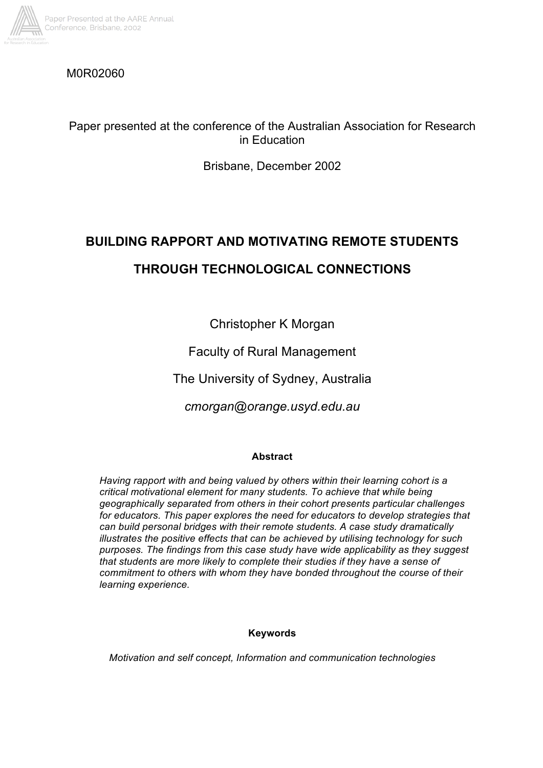

# M0R02060

# Paper presented at the conference of the Australian Association for Research in Education

Brisbane, December 2002

# **BUILDING RAPPORT AND MOTIVATING REMOTE STUDENTS THROUGH TECHNOLOGICAL CONNECTIONS**

Christopher K Morgan

Faculty of Rural Management

The University of Sydney, Australia

*cmorgan@orange.usyd.edu.au*

# **Abstract**

*Having rapport with and being valued by others within their learning cohort is a critical motivational element for many students. To achieve that while being geographically separated from others in their cohort presents particular challenges for educators. This paper explores the need for educators to develop strategies that can build personal bridges with their remote students. A case study dramatically illustrates the positive effects that can be achieved by utilising technology for such purposes. The findings from this case study have wide applicability as they suggest that students are more likely to complete their studies if they have a sense of commitment to others with whom they have bonded throughout the course of their learning experience.*

# **Keywords**

*Motivation and self concept, Information and communication technologies*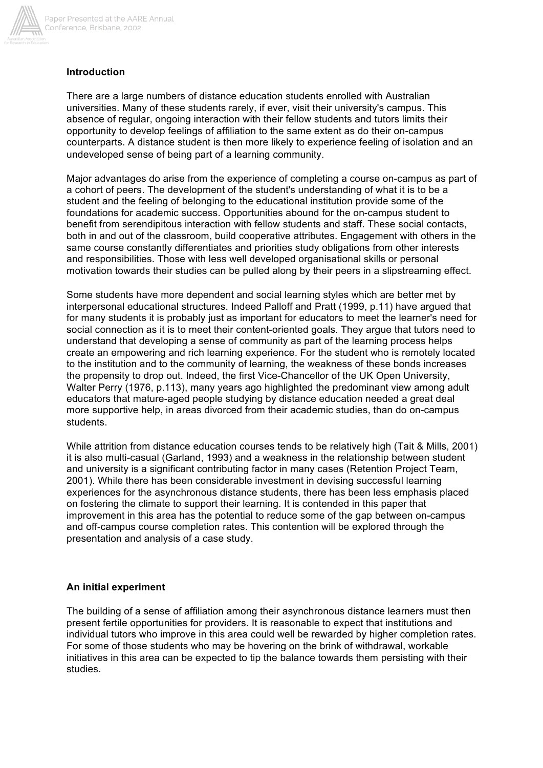

# **Introduction**

There are a large numbers of distance education students enrolled with Australian universities. Many of these students rarely, if ever, visit their university's campus. This absence of regular, ongoing interaction with their fellow students and tutors limits their opportunity to develop feelings of affiliation to the same extent as do their on-campus counterparts. A distance student is then more likely to experience feeling of isolation and an undeveloped sense of being part of a learning community.

Major advantages do arise from the experience of completing a course on-campus as part of a cohort of peers. The development of the student's understanding of what it is to be a student and the feeling of belonging to the educational institution provide some of the foundations for academic success. Opportunities abound for the on-campus student to benefit from serendipitous interaction with fellow students and staff. These social contacts, both in and out of the classroom, build cooperative attributes. Engagement with others in the same course constantly differentiates and priorities study obligations from other interests and responsibilities. Those with less well developed organisational skills or personal motivation towards their studies can be pulled along by their peers in a slipstreaming effect.

Some students have more dependent and social learning styles which are better met by interpersonal educational structures. Indeed Palloff and Pratt (1999, p.11) have argued that for many students it is probably just as important for educators to meet the learner's need for social connection as it is to meet their content-oriented goals. They argue that tutors need to understand that developing a sense of community as part of the learning process helps create an empowering and rich learning experience. For the student who is remotely located to the institution and to the community of learning, the weakness of these bonds increases the propensity to drop out. Indeed, the first Vice-Chancellor of the UK Open University, Walter Perry (1976, p.113), many years ago highlighted the predominant view among adult educators that mature-aged people studying by distance education needed a great deal more supportive help, in areas divorced from their academic studies, than do on-campus students.

While attrition from distance education courses tends to be relatively high (Tait & Mills, 2001) it is also multi-casual (Garland, 1993) and a weakness in the relationship between student and university is a significant contributing factor in many cases (Retention Project Team, 2001). While there has been considerable investment in devising successful learning experiences for the asynchronous distance students, there has been less emphasis placed on fostering the climate to support their learning. It is contended in this paper that improvement in this area has the potential to reduce some of the gap between on-campus and off-campus course completion rates. This contention will be explored through the presentation and analysis of a case study.

#### **An initial experiment**

The building of a sense of affiliation among their asynchronous distance learners must then present fertile opportunities for providers. It is reasonable to expect that institutions and individual tutors who improve in this area could well be rewarded by higher completion rates. For some of those students who may be hovering on the brink of withdrawal, workable initiatives in this area can be expected to tip the balance towards them persisting with their studies.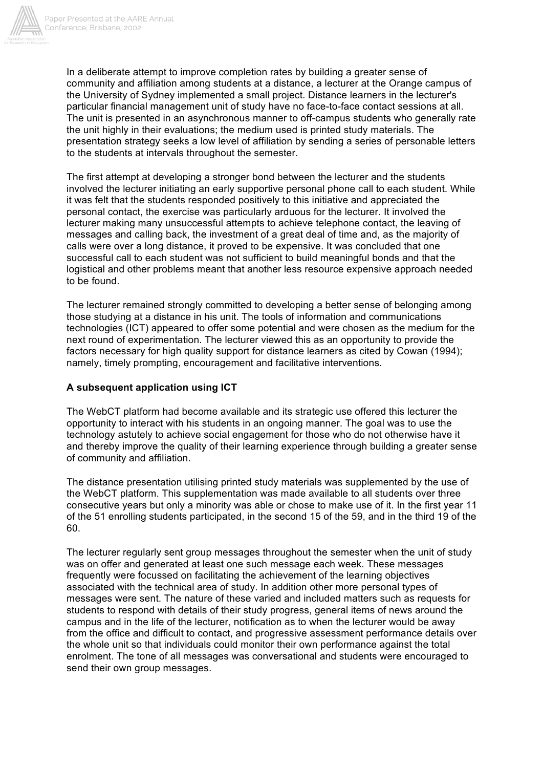

In a deliberate attempt to improve completion rates by building a greater sense of community and affiliation among students at a distance, a lecturer at the Orange campus of the University of Sydney implemented a small project. Distance learners in the lecturer's particular financial management unit of study have no face-to-face contact sessions at all. The unit is presented in an asynchronous manner to off-campus students who generally rate the unit highly in their evaluations; the medium used is printed study materials. The presentation strategy seeks a low level of affiliation by sending a series of personable letters to the students at intervals throughout the semester.

The first attempt at developing a stronger bond between the lecturer and the students involved the lecturer initiating an early supportive personal phone call to each student. While it was felt that the students responded positively to this initiative and appreciated the personal contact, the exercise was particularly arduous for the lecturer. It involved the lecturer making many unsuccessful attempts to achieve telephone contact, the leaving of messages and calling back, the investment of a great deal of time and, as the majority of calls were over a long distance, it proved to be expensive. It was concluded that one successful call to each student was not sufficient to build meaningful bonds and that the logistical and other problems meant that another less resource expensive approach needed to be found.

The lecturer remained strongly committed to developing a better sense of belonging among those studying at a distance in his unit. The tools of information and communications technologies (ICT) appeared to offer some potential and were chosen as the medium for the next round of experimentation. The lecturer viewed this as an opportunity to provide the factors necessary for high quality support for distance learners as cited by Cowan (1994); namely, timely prompting, encouragement and facilitative interventions.

## **A subsequent application using ICT**

The WebCT platform had become available and its strategic use offered this lecturer the opportunity to interact with his students in an ongoing manner. The goal was to use the technology astutely to achieve social engagement for those who do not otherwise have it and thereby improve the quality of their learning experience through building a greater sense of community and affiliation.

The distance presentation utilising printed study materials was supplemented by the use of the WebCT platform. This supplementation was made available to all students over three consecutive years but only a minority was able or chose to make use of it. In the first year 11 of the 51 enrolling students participated, in the second 15 of the 59, and in the third 19 of the 60.

The lecturer regularly sent group messages throughout the semester when the unit of study was on offer and generated at least one such message each week. These messages frequently were focussed on facilitating the achievement of the learning objectives associated with the technical area of study. In addition other more personal types of messages were sent. The nature of these varied and included matters such as requests for students to respond with details of their study progress, general items of news around the campus and in the life of the lecturer, notification as to when the lecturer would be away from the office and difficult to contact, and progressive assessment performance details over the whole unit so that individuals could monitor their own performance against the total enrolment. The tone of all messages was conversational and students were encouraged to send their own group messages.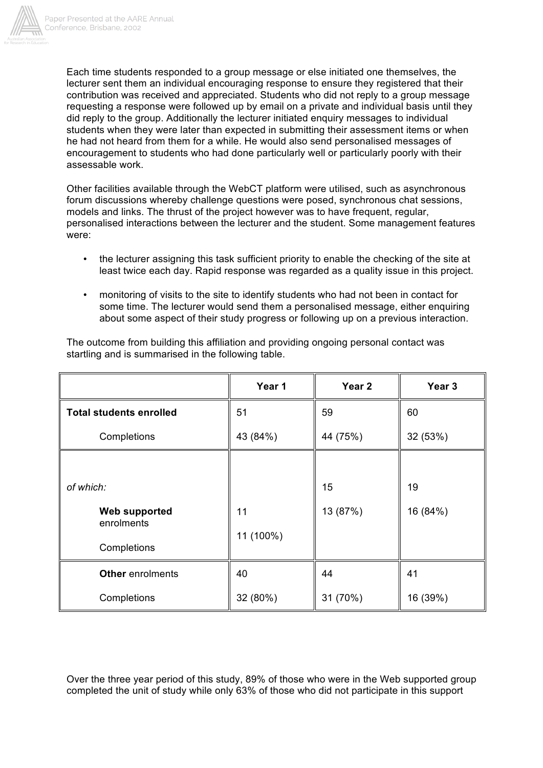

Each time students responded to a group message or else initiated one themselves, the lecturer sent them an individual encouraging response to ensure they registered that their contribution was received and appreciated. Students who did not reply to a group message requesting a response were followed up by email on a private and individual basis until they did reply to the group. Additionally the lecturer initiated enquiry messages to individual students when they were later than expected in submitting their assessment items or when he had not heard from them for a while. He would also send personalised messages of encouragement to students who had done particularly well or particularly poorly with their assessable work.

Other facilities available through the WebCT platform were utilised, such as asynchronous forum discussions whereby challenge questions were posed, synchronous chat sessions, models and links. The thrust of the project however was to have frequent, regular, personalised interactions between the lecturer and the student. Some management features were:

- the lecturer assigning this task sufficient priority to enable the checking of the site at least twice each day. Rapid response was regarded as a quality issue in this project.
- monitoring of visits to the site to identify students who had not been in contact for some time. The lecturer would send them a personalised message, either enquiring about some aspect of their study progress or following up on a previous interaction.

|                                    | Year 1    | Year 2   | Year 3   |
|------------------------------------|-----------|----------|----------|
| <b>Total students enrolled</b>     | 51        | 59       | 60       |
| Completions                        | 43 (84%)  | 44 (75%) | 32 (53%) |
|                                    |           |          |          |
| of which:                          |           | 15       | 19       |
| <b>Web supported</b><br>enrolments | 11        | 13 (87%) | 16 (84%) |
| Completions                        | 11 (100%) |          |          |
| Other enrolments                   | 40        | 44       | 41       |
| Completions                        | 32 (80%)  | 31 (70%) | 16 (39%) |

The outcome from building this affiliation and providing ongoing personal contact was startling and is summarised in the following table.

Over the three year period of this study, 89% of those who were in the Web supported group completed the unit of study while only 63% of those who did not participate in this support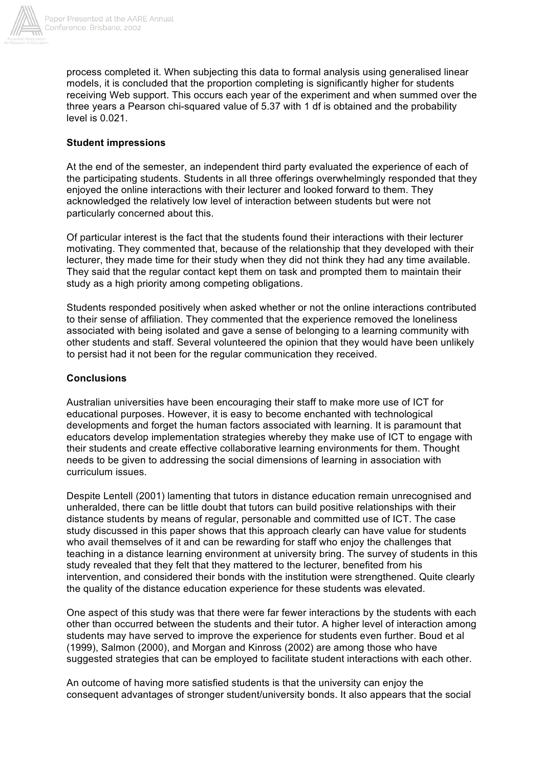

process completed it. When subjecting this data to formal analysis using generalised linear models, it is concluded that the proportion completing is significantly higher for students receiving Web support. This occurs each year of the experiment and when summed over the three years a Pearson chi-squared value of 5.37 with 1 df is obtained and the probability level is 0.021.

#### **Student impressions**

At the end of the semester, an independent third party evaluated the experience of each of the participating students. Students in all three offerings overwhelmingly responded that they enjoyed the online interactions with their lecturer and looked forward to them. They acknowledged the relatively low level of interaction between students but were not particularly concerned about this.

Of particular interest is the fact that the students found their interactions with their lecturer motivating. They commented that, because of the relationship that they developed with their lecturer, they made time for their study when they did not think they had any time available. They said that the regular contact kept them on task and prompted them to maintain their study as a high priority among competing obligations.

Students responded positively when asked whether or not the online interactions contributed to their sense of affiliation. They commented that the experience removed the loneliness associated with being isolated and gave a sense of belonging to a learning community with other students and staff. Several volunteered the opinion that they would have been unlikely to persist had it not been for the regular communication they received.

#### **Conclusions**

Australian universities have been encouraging their staff to make more use of ICT for educational purposes. However, it is easy to become enchanted with technological developments and forget the human factors associated with learning. It is paramount that educators develop implementation strategies whereby they make use of ICT to engage with their students and create effective collaborative learning environments for them. Thought needs to be given to addressing the social dimensions of learning in association with curriculum issues.

Despite Lentell (2001) lamenting that tutors in distance education remain unrecognised and unheralded, there can be little doubt that tutors can build positive relationships with their distance students by means of regular, personable and committed use of ICT. The case study discussed in this paper shows that this approach clearly can have value for students who avail themselves of it and can be rewarding for staff who enjoy the challenges that teaching in a distance learning environment at university bring. The survey of students in this study revealed that they felt that they mattered to the lecturer, benefited from his intervention, and considered their bonds with the institution were strengthened. Quite clearly the quality of the distance education experience for these students was elevated.

One aspect of this study was that there were far fewer interactions by the students with each other than occurred between the students and their tutor. A higher level of interaction among students may have served to improve the experience for students even further. Boud et al (1999), Salmon (2000), and Morgan and Kinross (2002) are among those who have suggested strategies that can be employed to facilitate student interactions with each other.

An outcome of having more satisfied students is that the university can enjoy the consequent advantages of stronger student/university bonds. It also appears that the social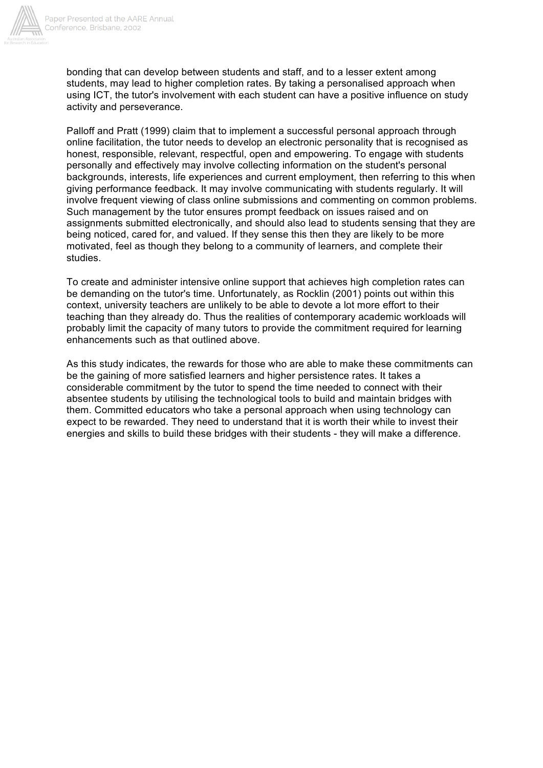

bonding that can develop between students and staff, and to a lesser extent among students, may lead to higher completion rates. By taking a personalised approach when using ICT, the tutor's involvement with each student can have a positive influence on study activity and perseverance.

Palloff and Pratt (1999) claim that to implement a successful personal approach through online facilitation, the tutor needs to develop an electronic personality that is recognised as honest, responsible, relevant, respectful, open and empowering. To engage with students personally and effectively may involve collecting information on the student's personal backgrounds, interests, life experiences and current employment, then referring to this when giving performance feedback. It may involve communicating with students regularly. It will involve frequent viewing of class online submissions and commenting on common problems. Such management by the tutor ensures prompt feedback on issues raised and on assignments submitted electronically, and should also lead to students sensing that they are being noticed, cared for, and valued. If they sense this then they are likely to be more motivated, feel as though they belong to a community of learners, and complete their studies.

To create and administer intensive online support that achieves high completion rates can be demanding on the tutor's time. Unfortunately, as Rocklin (2001) points out within this context, university teachers are unlikely to be able to devote a lot more effort to their teaching than they already do. Thus the realities of contemporary academic workloads will probably limit the capacity of many tutors to provide the commitment required for learning enhancements such as that outlined above.

As this study indicates, the rewards for those who are able to make these commitments can be the gaining of more satisfied learners and higher persistence rates. It takes a considerable commitment by the tutor to spend the time needed to connect with their absentee students by utilising the technological tools to build and maintain bridges with them. Committed educators who take a personal approach when using technology can expect to be rewarded. They need to understand that it is worth their while to invest their energies and skills to build these bridges with their students - they will make a difference.